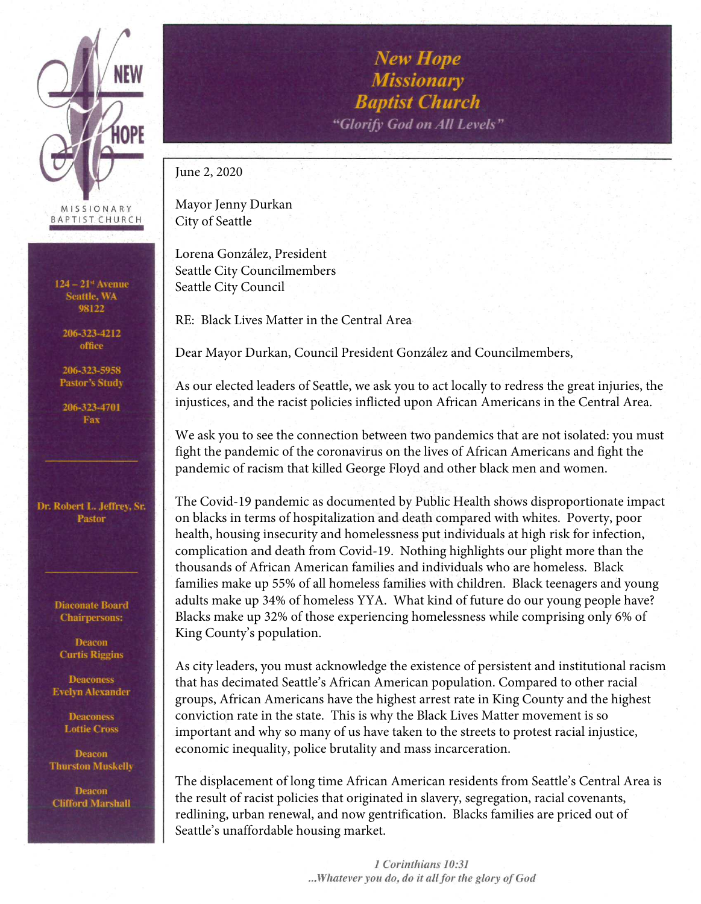

 $124 - 21$ <sup>st</sup> Avenue **Seattle, WA** 98122

206-323-4212 office

206-323-5958 **Pastor's Study** 

206-323-4701 Fax

Dr. Robert L. Jeffrey, Sr. **Pastor** 

> **Diaconate Board Chairpersons:**

**Deacon Curtis Riggins** 

**Deaconess Evelyn Alexander** 

> **Deaconess Lottie Cross**

**Deacon Thurston Muskelly** 

**Deacon Clifford Marshall** 

**New Hope Missionary Baptist Church** "Glorify God on All Levels"

June 2, 2020

Mayor Jenny Durkan City of Seattle

Lorena González, President Seattle City Councilmembers Seattle City Council

RE: Black Lives Matter in the Central Area

Dear Mayor Durkan, Council President González and Councilmembers,

As our elected leaders of Seattle, we ask you to act locally to redress the great injuries, the injustices, and the racist policies inflicted upon African Americans in the Central Area.

We ask you to see the connection between two pandemics that are not isolated: you must fight the pandemic of the coronavirus on the lives of African Americans and fight the pandemic of racism that killed George Floyd and other black men and women.

The Covid-19 pandemic as documented by Public Health shows disproportionate impact on blacks in terms of hospitalization and death compared with whites. Poverty, poor health, housing insecurity and homelessness put individuals at high risk for infection, complication and death from Covid-19. Nothing highlights our plight more than the thousands of African American families and individuals who are homeless. Black families make up 55% of all homeless families with children. Black teenagers and young adults make up 34% of homeless YYA. What kind of future do our young people have? Blacks make up 32% of those experiencing homelessness while comprising only 6% of King County's population.

As city leaders, you must acknowledge the existence of persistent and institutional racism that has decimated Seattle's African American population. Compared to other racial groups, African Americans have the highest arrest rate in King County and the highest conviction rate in the state. This is why the Black Lives Matter movement is so important and why so many of us have taken to the streets to protest racial injustice, economic inequality, police brutality and mass incarceration.

The displacement of long time African American residents from Seattle's Central Area is the result of racist policies that originated in slavery, segregation, racial covenants, redlining, urban renewal, and now gentrification. Blacks families are priced out of Seattle's unaffordable housing market.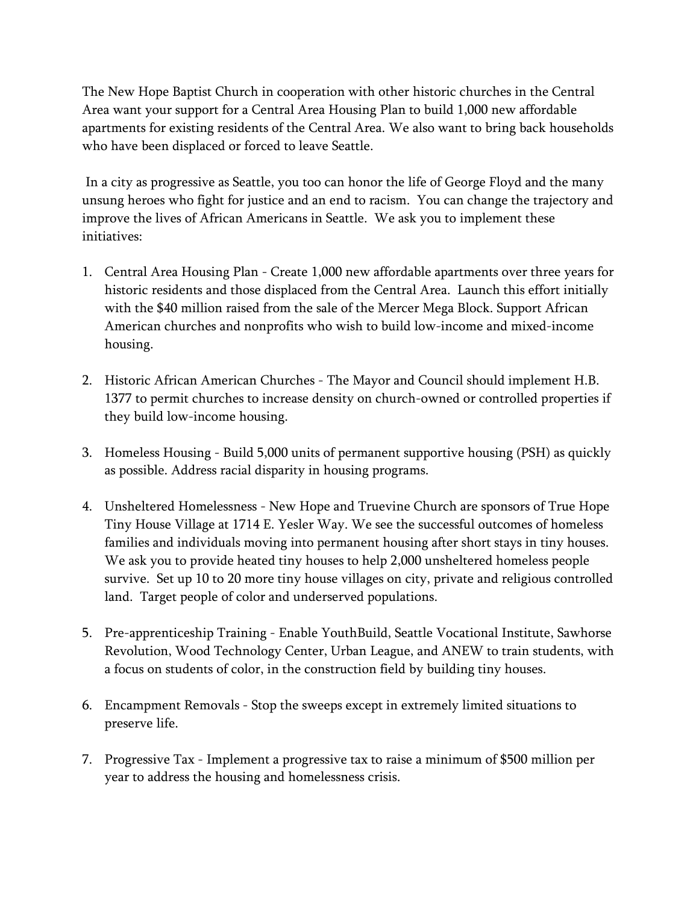The New Hope Baptist Church in cooperation with other historic churches in the Central Area want your support for a Central Area Housing Plan to build 1,000 new affordable apartments for existing residents of the Central Area. We also want to bring back households who have been displaced or forced to leave Seattle.

 In a city as progressive as Seattle, you too can honor the life of George Floyd and the many unsung heroes who fight for justice and an end to racism. You can change the trajectory and improve the lives of African Americans in Seattle. We ask you to implement these initiatives:

- 1. Central Area Housing Plan Create 1,000 new affordable apartments over three years for historic residents and those displaced from the Central Area. Launch this effort initially with the \$40 million raised from the sale of the Mercer Mega Block. Support African American churches and nonprofits who wish to build low-income and mixed-income housing.
- 2. Historic African American Churches The Mayor and Council should implement H.B. 1377 to permit churches to increase density on church-owned or controlled properties if they build low-income housing.
- 3. Homeless Housing Build 5,000 units of permanent supportive housing (PSH) as quickly as possible. Address racial disparity in housing programs.
- 4. Unsheltered Homelessness New Hope and Truevine Church are sponsors of True Hope Tiny House Village at 1714 E. Yesler Way. We see the successful outcomes of homeless families and individuals moving into permanent housing after short stays in tiny houses. We ask you to provide heated tiny houses to help 2,000 unsheltered homeless people survive. Set up 10 to 20 more tiny house villages on city, private and religious controlled land. Target people of color and underserved populations.
- 5. Pre-apprenticeship Training Enable YouthBuild, Seattle Vocational Institute, Sawhorse Revolution, Wood Technology Center, Urban League, and ANEW to train students, with a focus on students of color, in the construction field by building tiny houses.
- 6. Encampment Removals Stop the sweeps except in extremely limited situations to preserve life.
- 7. Progressive Tax Implement a progressive tax to raise a minimum of \$500 million per year to address the housing and homelessness crisis.